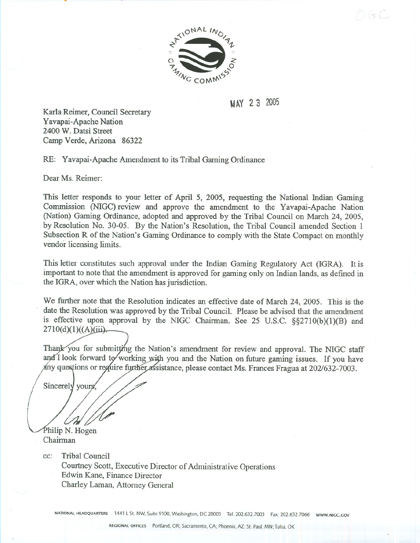

MAY 2 3 2005

 $\left( 1-\right)$ 

Karla Reimer, Council Secretary Yavapai-Apache Nation 2400 W. Datsi Street Camp Verde, Arizona 86322

RE: Yavapai-Apache Amendment to its Tribal Gaming Ordinance

Dear Ms. Reimer:

This letter responds to your letter of April 5, 2005, requesting the National Indian Gaming Commission (NIGC) review and approve the amendment to the Yavapai-Apache Nation (Nation) Gaming Ordinance, adopted and approved by the Tribal Council on March 24, 2005, by Resolution No. 30-05. By the Nation's Resolution, the Tribal Council amended Section 1 Subsection R of the Nation's Gaming Ordinance to comply with the State Compact on monthly vendor licensing limits.

This letter constitutes such approval under the Indian Gaming Regulatory Act (IGRA). It is important to note that the amendment is approved for gaming only on Indian lands, as defined in the IGRA, over which the Nation has jurisdiction.

We further note that the Resolution indicates an effective date of March 24, 2005. This is the date the Resolution was approved by the Tribal Council. Please be advised that the amendment is effective upon approval by the NIGC Chairman. See 25 D.S.C. §§271O(b)(1)(B) and  $2710(d)(1)((A)(iii).$ 

Thank you for submitting the Nation's amendment for review and approval. The NIGC staff and I look forward to working with you and the Nation on future gaming issues. If you have any questions or require further assistance, please contact Ms. Frances Fragua at 202/632-7003.

Sincerely yours

Philip N. Hogen Chairman

> cc: Tribal Council Courtney Scott, Executive Director of Administrative Operations Edwin Kane, Finance Director Charley Laman, Attorney General

NATIONAL HEADQUARTERS 1441 LSt. NW, Suite 9100, Washington, DC 20005 Tel: 202.632.7003 Fax: 202.632.7066 WWW.NIGC.GOV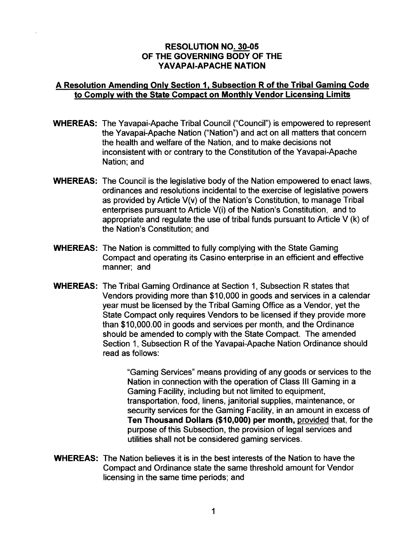## **RESOLUTION NO. 30-05** OF THE GOVERNING BODY OF THE YAVAPAI-APACHE NATION

## A Resolution Amending Only Section 1, Subsection R of the Tribal Gaming Code to Comply with the State Compact on Monthly Vendor Licensing Limits

- **WHEREAS:** The Yavapai-Apache Tribal Council ("Council") is empowered to represent the Yavapai-Apache Nation ("Nation") and act on all matters that concern the health and welfare of the Nation, and to make decisions not inconsistent with or contrary to the Constitution of the Yavapai-Apache Nation; and
- **WHEREAS:** The Council is the legislative body of the Nation empowered to enact laws, ordinances and resolutions incidental to the exercise of legislative powers as provided by Article V(v) of the Nation's Constitution, to manage Tribal enterprises pursuant to Article V(i) of the Nation's Constitution, and to appropriate and regulate the use of tribal funds pursuant to Article V (k) of the Nation's Constitution; and
- **WHEREAS:** The Nation is committed to fully complying with the State Gaming Compact and operating its Casino enterprise in an efficient and effective manner; and
- **WHEREAS:** The Tribal Gaming Ordinance at Section 1, Subsection R states that Vendors providing more than \$10,000 in goods and services in a calendar year must be licensed by the Tribal Gaming Office as a Vendor, yet the State Compact only requires Vendors to be licensed if they provide more than \$10,000.00 in goods and services per month, and the Ordinance should be amended to comply with the State Compact. The amended Section 1, Subsection R of the Yavapai-Apache Nation Ordinance should read as follows:

"Gaming Services" means providing of any goods or services to the Nation in connection with the operation of Class III Gaming in a Gaming Facility, including but not limited to equipment, transportation, food, linens, janitorial supplies, maintenance, or security services for the Gaming Facility, in an amount in excess of Ten Thousand Dollars (\$10,000) per month, provided that, for the purpose of this Subsection, the provision of legal services and utilities shall not be considered gaming services.

**WHEREAS:** The Nation believes it is in the best interests of the Nation to have the Compact and Ordinance state the same threshold amount for Vendor licensing in the same time periods; and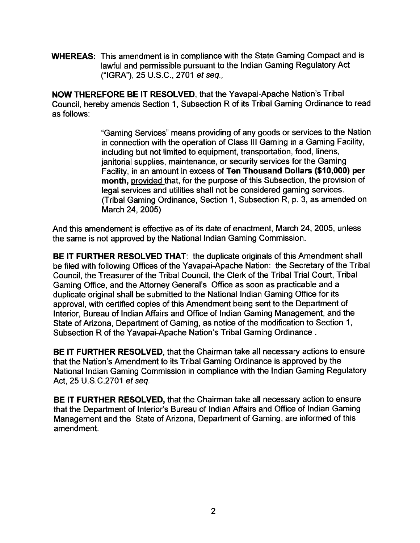**WHEREAS:** This amendment is in compliance with the State Gaming Compact and is lawful and permissible pursuant to the Indian Gaming Regulatory Act ("IGRA"), 25 U.S.C., 2701 et seq.,

**NOW THEREFORE BE IT RESOLVED, that the Yavapai-Apache Nation's Tribal** Council, hereby amends Section 1, Subsection R of its Tribal Gaming Ordinance to read as follows:

> "Gaming Services" means providing of any goods or services to the Nation in connection with the operation of Class III Gaming in a Gaming Facility, including but not limited to equipment, transportation, food, linens, janitorial supplies, maintenance, or security services for the Gaming Facility, in an amount in excess of Ten Thousand Dollars (\$10,000) per month, provided that, for the purpose of this Subsection, the provision of legal services and utilities shall not be considered gaming services. (Tribal Gaming Ordinance, Section 1, Subsection R, p. 3, as amended on March 24, 2005)

And this amendement is effective as of its date of enactment, March 24, 2005, unless the same is not approved by the National Indian Gaming Commission.

**BE IT FURTHER RESOLVED THAT: the duplicate originals of this Amendment shall** be filed with following Offices of the Yavapai-Apache Nation: the Secretary of the Tribal Council, the Treasurer of the Tribal Council, the Clerk of the Tribal Trial Court, Tribal Gaming Office, and the Attorney General's Office as soon as practicable and a duplicate original shall be submitted to the National Indian Gaming Office for its approval, with certified copies of this Amendment being sent to the Department of Interior, Bureau of Indian Affairs and Office of Indian Gaming Management, and the State of Arizona, Department of Gaming, as notice of the modification to Section 1, Subsection R of the Yavapai-Apache Nation's Tribal Gaming Ordinance.

BE IT FURTHER RESOLVED, that the Chairman take all necessary actions to ensure that the Nation's Amendment to its Tribal Gaming Ordinance is approved by the National Indian Gaming Commission in compliance with the Indian Gaming Regulatory Act, 25 U.S.C.2701 et seq.

BE IT FURTHER RESOLVED, that the Chairman take all necessary action to ensure that the Department of Interior's Bureau of Indian Affairs and Office of Indian Gaming Management and the State of Arizona, Department of Gaming, are informed of this amendment.